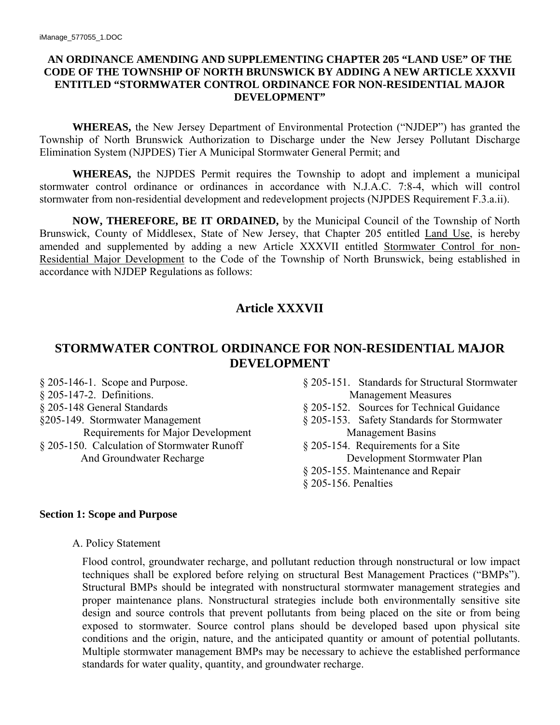### **AN ORDINANCE AMENDING AND SUPPLEMENTING CHAPTER 205 "LAND USE" OF THE CODE OF THE TOWNSHIP OF NORTH BRUNSWICK BY ADDING A NEW ARTICLE XXXVII ENTITLED "STORMWATER CONTROL ORDINANCE FOR NON-RESIDENTIAL MAJOR DEVELOPMENT"**

**WHEREAS,** the New Jersey Department of Environmental Protection ("NJDEP") has granted the Township of North Brunswick Authorization to Discharge under the New Jersey Pollutant Discharge Elimination System (NJPDES) Tier A Municipal Stormwater General Permit; and

**WHEREAS,** the NJPDES Permit requires the Township to adopt and implement a municipal stormwater control ordinance or ordinances in accordance with N.J.A.C. 7:8-4, which will control stormwater from non-residential development and redevelopment projects (NJPDES Requirement F.3.a.ii).

**NOW, THEREFORE, BE IT ORDAINED,** by the Municipal Council of the Township of North Brunswick, County of Middlesex, State of New Jersey, that Chapter 205 entitled Land Use, is hereby amended and supplemented by adding a new Article XXXVII entitled Stormwater Control for non-Residential Major Development to the Code of the Township of North Brunswick, being established in accordance with NJDEP Regulations as follows:

# **Article XXXVII**

# **STORMWATER CONTROL ORDINANCE FOR NON-RESIDENTIAL MAJOR DEVELOPMENT**

- § 205-147-2. Definitions. Management Measures § 205-148 General Standards § 205-152. Sources for Technical Guidance §205-149. Stormwater Management § 205-153. Safety Standards for Stormwater Requirements for Major Development Management Basins § 205-150. Calculation of Stormwater Runoff § 205-154. Requirements for a Site
- § 205-146-1. Scope and Purpose. § 205-151. Standards for Structural Stormwater
	-
	-
	- And Groundwater Recharge Development Stormwater Plan
		- § 205-155. Maintenance and Repair
		- § 205-156. Penalties

#### **Section 1: Scope and Purpose**

A. Policy Statement

Flood control, groundwater recharge, and pollutant reduction through nonstructural or low impact techniques shall be explored before relying on structural Best Management Practices ("BMPs"). Structural BMPs should be integrated with nonstructural stormwater management strategies and proper maintenance plans. Nonstructural strategies include both environmentally sensitive site design and source controls that prevent pollutants from being placed on the site or from being exposed to stormwater. Source control plans should be developed based upon physical site conditions and the origin, nature, and the anticipated quantity or amount of potential pollutants. Multiple stormwater management BMPs may be necessary to achieve the established performance standards for water quality, quantity, and groundwater recharge.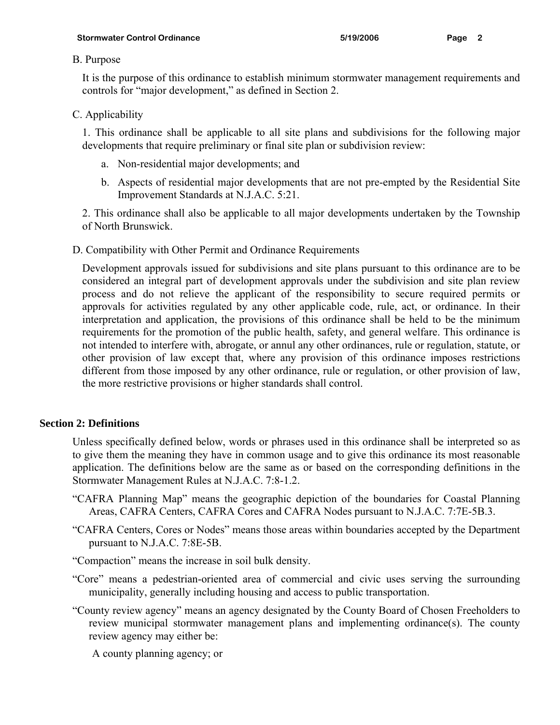### B. Purpose

It is the purpose of this ordinance to establish minimum stormwater management requirements and controls for "major development," as defined in Section 2.

## C. Applicability

1. This ordinance shall be applicable to all site plans and subdivisions for the following major developments that require preliminary or final site plan or subdivision review:

- a. Non-residential major developments; and
- b. Aspects of residential major developments that are not pre-empted by the Residential Site Improvement Standards at N.J.A.C. 5:21.

2. This ordinance shall also be applicable to all major developments undertaken by the Township of North Brunswick.

D. Compatibility with Other Permit and Ordinance Requirements

Development approvals issued for subdivisions and site plans pursuant to this ordinance are to be considered an integral part of development approvals under the subdivision and site plan review process and do not relieve the applicant of the responsibility to secure required permits or approvals for activities regulated by any other applicable code, rule, act, or ordinance. In their interpretation and application, the provisions of this ordinance shall be held to be the minimum requirements for the promotion of the public health, safety, and general welfare. This ordinance is not intended to interfere with, abrogate, or annul any other ordinances, rule or regulation, statute, or other provision of law except that, where any provision of this ordinance imposes restrictions different from those imposed by any other ordinance, rule or regulation, or other provision of law, the more restrictive provisions or higher standards shall control.

## **Section 2: Definitions**

Unless specifically defined below, words or phrases used in this ordinance shall be interpreted so as to give them the meaning they have in common usage and to give this ordinance its most reasonable application. The definitions below are the same as or based on the corresponding definitions in the Stormwater Management Rules at N.J.A.C. 7:8-1.2.

- "CAFRA Planning Map" means the geographic depiction of the boundaries for Coastal Planning Areas, CAFRA Centers, CAFRA Cores and CAFRA Nodes pursuant to N.J.A.C. 7:7E-5B.3.
- "CAFRA Centers, Cores or Nodes" means those areas within boundaries accepted by the Department pursuant to N.J.A.C. 7:8E-5B.
- "Compaction" means the increase in soil bulk density.
- "Core" means a pedestrian-oriented area of commercial and civic uses serving the surrounding municipality, generally including housing and access to public transportation.
- "County review agency" means an agency designated by the County Board of Chosen Freeholders to review municipal stormwater management plans and implementing ordinance(s). The county review agency may either be:
	- A county planning agency; or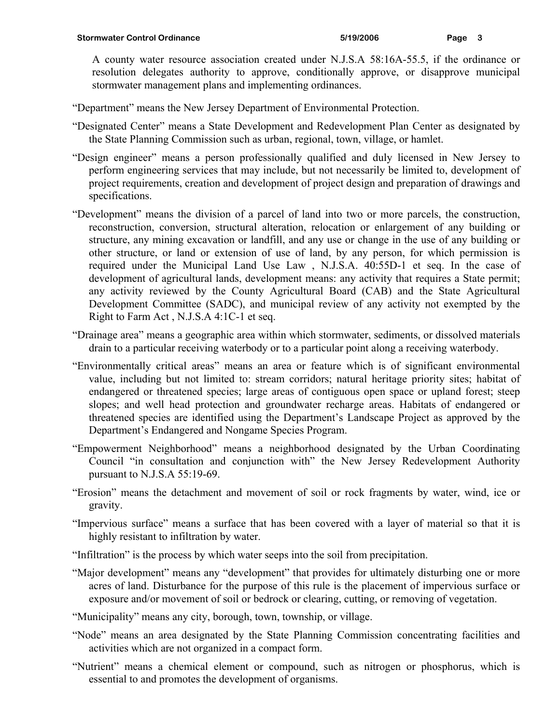A county water resource association created under N.J.S.A 58:16A-55.5, if the ordinance or resolution delegates authority to approve, conditionally approve, or disapprove municipal stormwater management plans and implementing ordinances.

"Department" means the New Jersey Department of Environmental Protection.

- "Designated Center" means a State Development and Redevelopment Plan Center as designated by the State Planning Commission such as urban, regional, town, village, or hamlet.
- "Design engineer" means a person professionally qualified and duly licensed in New Jersey to perform engineering services that may include, but not necessarily be limited to, development of project requirements, creation and development of project design and preparation of drawings and specifications.
- "Development" means the division of a parcel of land into two or more parcels, the construction, reconstruction, conversion, structural alteration, relocation or enlargement of any building or structure, any mining excavation or landfill, and any use or change in the use of any building or other structure, or land or extension of use of land, by any person, for which permission is required under the Municipal Land Use Law , N.J.S.A. 40:55D-1 et seq. In the case of development of agricultural lands, development means: any activity that requires a State permit; any activity reviewed by the County Agricultural Board (CAB) and the State Agricultural Development Committee (SADC), and municipal review of any activity not exempted by the Right to Farm Act , N.J.S.A 4:1C-1 et seq.
- "Drainage area" means a geographic area within which stormwater, sediments, or dissolved materials drain to a particular receiving waterbody or to a particular point along a receiving waterbody.
- "Environmentally critical areas" means an area or feature which is of significant environmental value, including but not limited to: stream corridors; natural heritage priority sites; habitat of endangered or threatened species; large areas of contiguous open space or upland forest; steep slopes; and well head protection and groundwater recharge areas. Habitats of endangered or threatened species are identified using the Department's Landscape Project as approved by the Department's Endangered and Nongame Species Program.
- "Empowerment Neighborhood" means a neighborhood designated by the Urban Coordinating Council "in consultation and conjunction with" the New Jersey Redevelopment Authority pursuant to N.J.S.A 55:19-69.
- "Erosion" means the detachment and movement of soil or rock fragments by water, wind, ice or gravity.
- "Impervious surface" means a surface that has been covered with a layer of material so that it is highly resistant to infiltration by water.
- "Infiltration" is the process by which water seeps into the soil from precipitation.
- "Major development" means any "development" that provides for ultimately disturbing one or more acres of land. Disturbance for the purpose of this rule is the placement of impervious surface or exposure and/or movement of soil or bedrock or clearing, cutting, or removing of vegetation.
- "Municipality" means any city, borough, town, township, or village.
- "Node" means an area designated by the State Planning Commission concentrating facilities and activities which are not organized in a compact form.
- "Nutrient" means a chemical element or compound, such as nitrogen or phosphorus, which is essential to and promotes the development of organisms.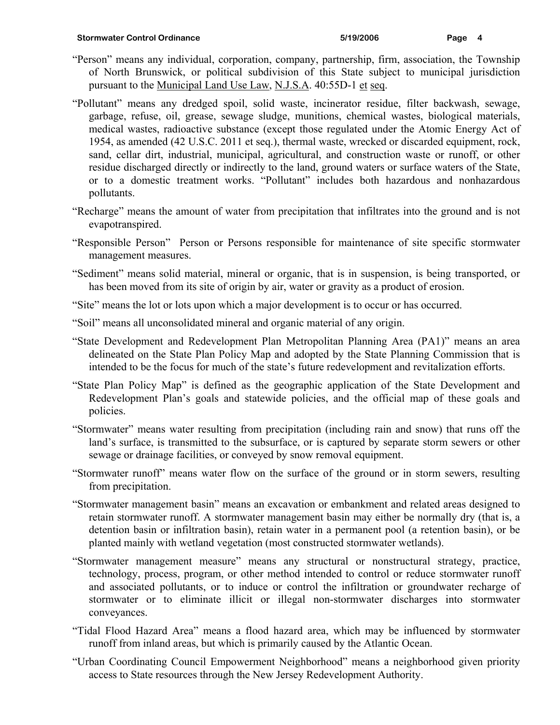- "Person" means any individual, corporation, company, partnership, firm, association, the Township of North Brunswick, or political subdivision of this State subject to municipal jurisdiction pursuant to the Municipal Land Use Law, N.J.S.A. 40:55D-1 et seq.
- "Pollutant" means any dredged spoil, solid waste, incinerator residue, filter backwash, sewage, garbage, refuse, oil, grease, sewage sludge, munitions, chemical wastes, biological materials, medical wastes, radioactive substance (except those regulated under the Atomic Energy Act of 1954, as amended (42 U.S.C. 2011 et seq.), thermal waste, wrecked or discarded equipment, rock, sand, cellar dirt, industrial, municipal, agricultural, and construction waste or runoff, or other residue discharged directly or indirectly to the land, ground waters or surface waters of the State, or to a domestic treatment works. "Pollutant" includes both hazardous and nonhazardous pollutants.
- "Recharge" means the amount of water from precipitation that infiltrates into the ground and is not evapotranspired.
- "Responsible Person" Person or Persons responsible for maintenance of site specific stormwater management measures.
- "Sediment" means solid material, mineral or organic, that is in suspension, is being transported, or has been moved from its site of origin by air, water or gravity as a product of erosion.
- "Site" means the lot or lots upon which a major development is to occur or has occurred.
- "Soil" means all unconsolidated mineral and organic material of any origin.
- "State Development and Redevelopment Plan Metropolitan Planning Area (PA1)" means an area delineated on the State Plan Policy Map and adopted by the State Planning Commission that is intended to be the focus for much of the state's future redevelopment and revitalization efforts.
- "State Plan Policy Map" is defined as the geographic application of the State Development and Redevelopment Plan's goals and statewide policies, and the official map of these goals and policies.
- "Stormwater" means water resulting from precipitation (including rain and snow) that runs off the land's surface, is transmitted to the subsurface, or is captured by separate storm sewers or other sewage or drainage facilities, or conveyed by snow removal equipment.
- "Stormwater runoff" means water flow on the surface of the ground or in storm sewers, resulting from precipitation.
- "Stormwater management basin" means an excavation or embankment and related areas designed to retain stormwater runoff. A stormwater management basin may either be normally dry (that is, a detention basin or infiltration basin), retain water in a permanent pool (a retention basin), or be planted mainly with wetland vegetation (most constructed stormwater wetlands).
- "Stormwater management measure" means any structural or nonstructural strategy, practice, technology, process, program, or other method intended to control or reduce stormwater runoff and associated pollutants, or to induce or control the infiltration or groundwater recharge of stormwater or to eliminate illicit or illegal non-stormwater discharges into stormwater conveyances.
- "Tidal Flood Hazard Area" means a flood hazard area, which may be influenced by stormwater runoff from inland areas, but which is primarily caused by the Atlantic Ocean.
- "Urban Coordinating Council Empowerment Neighborhood" means a neighborhood given priority access to State resources through the New Jersey Redevelopment Authority.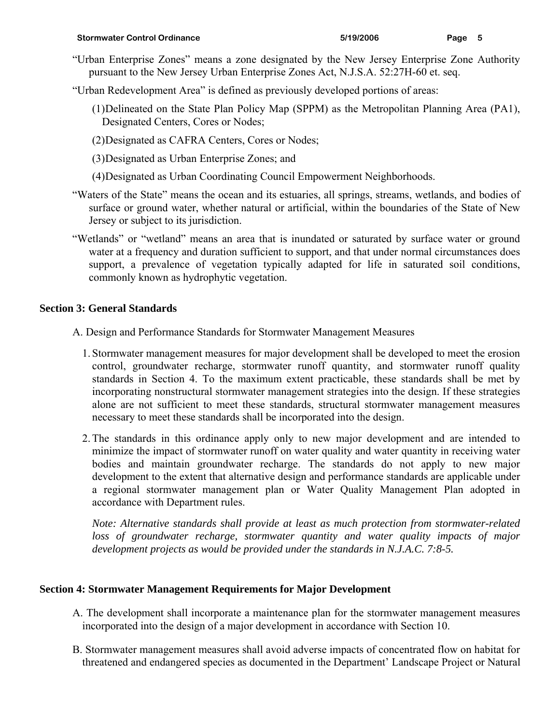- "Urban Enterprise Zones" means a zone designated by the New Jersey Enterprise Zone Authority pursuant to the New Jersey Urban Enterprise Zones Act, N.J.S.A. 52:27H-60 et. seq.
- "Urban Redevelopment Area" is defined as previously developed portions of areas:
	- (1) Delineated on the State Plan Policy Map (SPPM) as the Metropolitan Planning Area (PA1), Designated Centers, Cores or Nodes;
	- (2) Designated as CAFRA Centers, Cores or Nodes;
	- (3) Designated as Urban Enterprise Zones; and
	- (4) Designated as Urban Coordinating Council Empowerment Neighborhoods.
- "Waters of the State" means the ocean and its estuaries, all springs, streams, wetlands, and bodies of surface or ground water, whether natural or artificial, within the boundaries of the State of New Jersey or subject to its jurisdiction.
- "Wetlands" or "wetland" means an area that is inundated or saturated by surface water or ground water at a frequency and duration sufficient to support, and that under normal circumstances does support, a prevalence of vegetation typically adapted for life in saturated soil conditions, commonly known as hydrophytic vegetation.

### **Section 3: General Standards**

- A. Design and Performance Standards for Stormwater Management Measures
	- 1. Stormwater management measures for major development shall be developed to meet the erosion control, groundwater recharge, stormwater runoff quantity, and stormwater runoff quality standards in Section 4. To the maximum extent practicable, these standards shall be met by incorporating nonstructural stormwater management strategies into the design. If these strategies alone are not sufficient to meet these standards, structural stormwater management measures necessary to meet these standards shall be incorporated into the design.
	- 2. The standards in this ordinance apply only to new major development and are intended to minimize the impact of stormwater runoff on water quality and water quantity in receiving water bodies and maintain groundwater recharge. The standards do not apply to new major development to the extent that alternative design and performance standards are applicable under a regional stormwater management plan or Water Quality Management Plan adopted in accordance with Department rules.

*Note: Alternative standards shall provide at least as much protection from stormwater-related*  loss of groundwater recharge, stormwater quantity and water quality impacts of major *development projects as would be provided under the standards in N.J.A.C. 7:8-5.* 

## **Section 4: Stormwater Management Requirements for Major Development**

- A. The development shall incorporate a maintenance plan for the stormwater management measures incorporated into the design of a major development in accordance with Section 10.
- B. Stormwater management measures shall avoid adverse impacts of concentrated flow on habitat for threatened and endangered species as documented in the Department' Landscape Project or Natural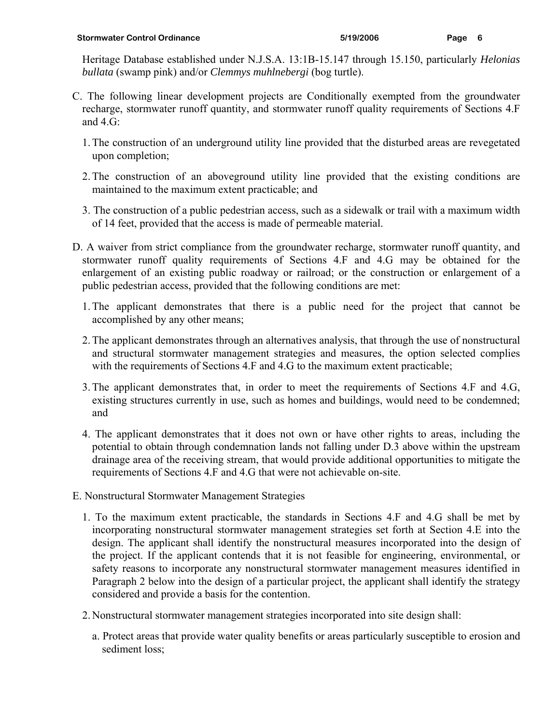- C. The following linear development projects are Conditionally exempted from the groundwater recharge, stormwater runoff quantity, and stormwater runoff quality requirements of Sections 4.F and  $4.G$ :
	- 1. The construction of an underground utility line provided that the disturbed areas are revegetated upon completion;
	- 2. The construction of an aboveground utility line provided that the existing conditions are maintained to the maximum extent practicable; and
	- 3. The construction of a public pedestrian access, such as a sidewalk or trail with a maximum width of 14 feet, provided that the access is made of permeable material.
- D. A waiver from strict compliance from the groundwater recharge, stormwater runoff quantity, and stormwater runoff quality requirements of Sections 4.F and 4.G may be obtained for the enlargement of an existing public roadway or railroad; or the construction or enlargement of a public pedestrian access, provided that the following conditions are met:
	- 1. The applicant demonstrates that there is a public need for the project that cannot be accomplished by any other means;
	- 2. The applicant demonstrates through an alternatives analysis, that through the use of nonstructural and structural stormwater management strategies and measures, the option selected complies with the requirements of Sections 4.F and 4.G to the maximum extent practicable;
	- 3. The applicant demonstrates that, in order to meet the requirements of Sections 4.F and 4.G, existing structures currently in use, such as homes and buildings, would need to be condemned; and
	- 4. The applicant demonstrates that it does not own or have other rights to areas, including the potential to obtain through condemnation lands not falling under D.3 above within the upstream drainage area of the receiving stream, that would provide additional opportunities to mitigate the requirements of Sections 4.F and 4.G that were not achievable on-site.
- E. Nonstructural Stormwater Management Strategies
	- 1. To the maximum extent practicable, the standards in Sections 4.F and 4.G shall be met by incorporating nonstructural stormwater management strategies set forth at Section 4.E into the design. The applicant shall identify the nonstructural measures incorporated into the design of the project. If the applicant contends that it is not feasible for engineering, environmental, or safety reasons to incorporate any nonstructural stormwater management measures identified in Paragraph 2 below into the design of a particular project, the applicant shall identify the strategy considered and provide a basis for the contention.
	- 2. Nonstructural stormwater management strategies incorporated into site design shall:
		- a. Protect areas that provide water quality benefits or areas particularly susceptible to erosion and sediment loss;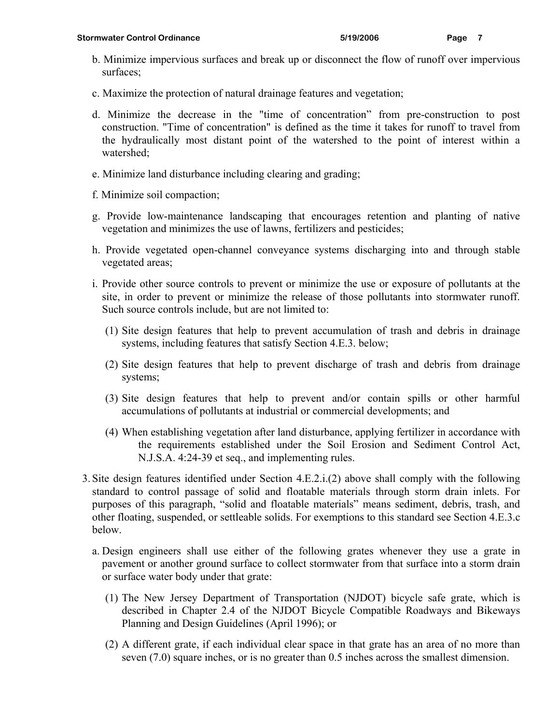- b. Minimize impervious surfaces and break up or disconnect the flow of runoff over impervious surfaces;
- c. Maximize the protection of natural drainage features and vegetation;
- d. Minimize the decrease in the "time of concentration" from pre-construction to post construction. "Time of concentration" is defined as the time it takes for runoff to travel from the hydraulically most distant point of the watershed to the point of interest within a watershed;
- e. Minimize land disturbance including clearing and grading;
- f. Minimize soil compaction;
- g. Provide low-maintenance landscaping that encourages retention and planting of native vegetation and minimizes the use of lawns, fertilizers and pesticides;
- h. Provide vegetated open-channel conveyance systems discharging into and through stable vegetated areas;
- i. Provide other source controls to prevent or minimize the use or exposure of pollutants at the site, in order to prevent or minimize the release of those pollutants into stormwater runoff. Such source controls include, but are not limited to:
	- (1) Site design features that help to prevent accumulation of trash and debris in drainage systems, including features that satisfy Section 4.E.3. below;
	- (2) Site design features that help to prevent discharge of trash and debris from drainage systems;
	- (3) Site design features that help to prevent and/or contain spills or other harmful accumulations of pollutants at industrial or commercial developments; and
	- (4) When establishing vegetation after land disturbance, applying fertilizer in accordance with the requirements established under the Soil Erosion and Sediment Control Act, N.J.S.A. 4:24-39 et seq., and implementing rules.
- 3. Site design features identified under Section 4.E.2.i.(2) above shall comply with the following standard to control passage of solid and floatable materials through storm drain inlets. For purposes of this paragraph, "solid and floatable materials" means sediment, debris, trash, and other floating, suspended, or settleable solids. For exemptions to this standard see Section 4.E.3.c below.
	- a. Design engineers shall use either of the following grates whenever they use a grate in pavement or another ground surface to collect stormwater from that surface into a storm drain or surface water body under that grate:
		- (1) The New Jersey Department of Transportation (NJDOT) bicycle safe grate, which is described in Chapter 2.4 of the NJDOT Bicycle Compatible Roadways and Bikeways Planning and Design Guidelines (April 1996); or
		- (2) A different grate, if each individual clear space in that grate has an area of no more than seven (7.0) square inches, or is no greater than 0.5 inches across the smallest dimension.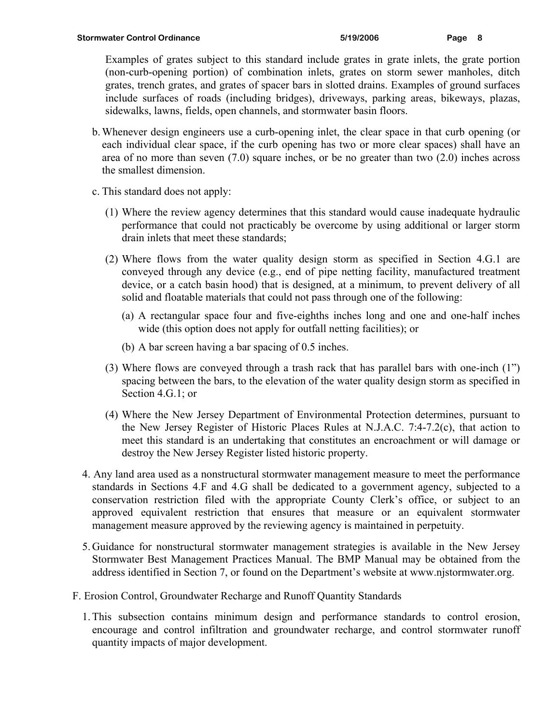Examples of grates subject to this standard include grates in grate inlets, the grate portion (non-curb-opening portion) of combination inlets, grates on storm sewer manholes, ditch grates, trench grates, and grates of spacer bars in slotted drains. Examples of ground surfaces include surfaces of roads (including bridges), driveways, parking areas, bikeways, plazas, sidewalks, lawns, fields, open channels, and stormwater basin floors.

- b. Whenever design engineers use a curb-opening inlet, the clear space in that curb opening (or each individual clear space, if the curb opening has two or more clear spaces) shall have an area of no more than seven (7.0) square inches, or be no greater than two (2.0) inches across the smallest dimension.
- c. This standard does not apply:
	- (1) Where the review agency determines that this standard would cause inadequate hydraulic performance that could not practicably be overcome by using additional or larger storm drain inlets that meet these standards;
	- (2) Where flows from the water quality design storm as specified in Section 4.G.1 are conveyed through any device (e.g., end of pipe netting facility, manufactured treatment device, or a catch basin hood) that is designed, at a minimum, to prevent delivery of all solid and floatable materials that could not pass through one of the following:
		- (a) A rectangular space four and five-eighths inches long and one and one-half inches wide (this option does not apply for outfall netting facilities); or
		- (b) A bar screen having a bar spacing of 0.5 inches.
	- (3) Where flows are conveyed through a trash rack that has parallel bars with one-inch (1") spacing between the bars, to the elevation of the water quality design storm as specified in Section 4.G.1; or
	- (4) Where the New Jersey Department of Environmental Protection determines, pursuant to the New Jersey Register of Historic Places Rules at N.J.A.C. 7:4-7.2(c), that action to meet this standard is an undertaking that constitutes an encroachment or will damage or destroy the New Jersey Register listed historic property.
- 4. Any land area used as a nonstructural stormwater management measure to meet the performance standards in Sections 4.F and 4.G shall be dedicated to a government agency, subjected to a conservation restriction filed with the appropriate County Clerk's office, or subject to an approved equivalent restriction that ensures that measure or an equivalent stormwater management measure approved by the reviewing agency is maintained in perpetuity.
- 5. Guidance for nonstructural stormwater management strategies is available in the New Jersey Stormwater Best Management Practices Manual. The BMP Manual may be obtained from the address identified in Section 7, or found on the Department's website at www.njstormwater.org.
- F. Erosion Control, Groundwater Recharge and Runoff Quantity Standards
	- 1. This subsection contains minimum design and performance standards to control erosion, encourage and control infiltration and groundwater recharge, and control stormwater runoff quantity impacts of major development.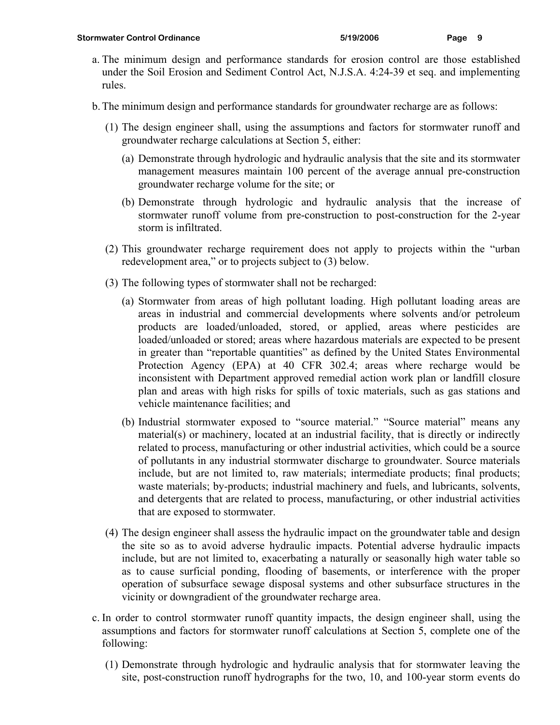- a. The minimum design and performance standards for erosion control are those established under the Soil Erosion and Sediment Control Act, N.J.S.A. 4:24-39 et seq. and implementing rules.
- b. The minimum design and performance standards for groundwater recharge are as follows:
	- (1) The design engineer shall, using the assumptions and factors for stormwater runoff and groundwater recharge calculations at Section 5, either:
		- (a) Demonstrate through hydrologic and hydraulic analysis that the site and its stormwater management measures maintain 100 percent of the average annual pre-construction groundwater recharge volume for the site; or
		- (b) Demonstrate through hydrologic and hydraulic analysis that the increase of stormwater runoff volume from pre-construction to post-construction for the 2-year storm is infiltrated.
	- (2) This groundwater recharge requirement does not apply to projects within the "urban redevelopment area," or to projects subject to (3) below.
	- (3) The following types of stormwater shall not be recharged:
		- (a) Stormwater from areas of high pollutant loading. High pollutant loading areas are areas in industrial and commercial developments where solvents and/or petroleum products are loaded/unloaded, stored, or applied, areas where pesticides are loaded/unloaded or stored; areas where hazardous materials are expected to be present in greater than "reportable quantities" as defined by the United States Environmental Protection Agency (EPA) at 40 CFR 302.4; areas where recharge would be inconsistent with Department approved remedial action work plan or landfill closure plan and areas with high risks for spills of toxic materials, such as gas stations and vehicle maintenance facilities; and
		- (b) Industrial stormwater exposed to "source material." "Source material" means any material(s) or machinery, located at an industrial facility, that is directly or indirectly related to process, manufacturing or other industrial activities, which could be a source of pollutants in any industrial stormwater discharge to groundwater. Source materials include, but are not limited to, raw materials; intermediate products; final products; waste materials; by-products; industrial machinery and fuels, and lubricants, solvents, and detergents that are related to process, manufacturing, or other industrial activities that are exposed to stormwater.
	- (4) The design engineer shall assess the hydraulic impact on the groundwater table and design the site so as to avoid adverse hydraulic impacts. Potential adverse hydraulic impacts include, but are not limited to, exacerbating a naturally or seasonally high water table so as to cause surficial ponding, flooding of basements, or interference with the proper operation of subsurface sewage disposal systems and other subsurface structures in the vicinity or downgradient of the groundwater recharge area.
- c. In order to control stormwater runoff quantity impacts, the design engineer shall, using the assumptions and factors for stormwater runoff calculations at Section 5, complete one of the following:
	- (1) Demonstrate through hydrologic and hydraulic analysis that for stormwater leaving the site, post-construction runoff hydrographs for the two, 10, and 100-year storm events do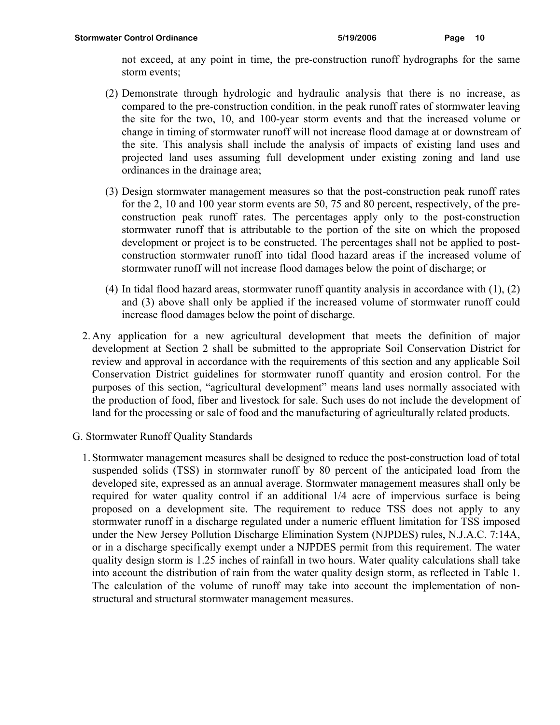- (2) Demonstrate through hydrologic and hydraulic analysis that there is no increase, as compared to the pre-construction condition, in the peak runoff rates of stormwater leaving the site for the two, 10, and 100-year storm events and that the increased volume or change in timing of stormwater runoff will not increase flood damage at or downstream of the site. This analysis shall include the analysis of impacts of existing land uses and projected land uses assuming full development under existing zoning and land use ordinances in the drainage area;
- (3) Design stormwater management measures so that the post-construction peak runoff rates for the 2, 10 and 100 year storm events are 50, 75 and 80 percent, respectively, of the preconstruction peak runoff rates. The percentages apply only to the post-construction stormwater runoff that is attributable to the portion of the site on which the proposed development or project is to be constructed. The percentages shall not be applied to postconstruction stormwater runoff into tidal flood hazard areas if the increased volume of stormwater runoff will not increase flood damages below the point of discharge; or
- (4) In tidal flood hazard areas, stormwater runoff quantity analysis in accordance with (1), (2) and (3) above shall only be applied if the increased volume of stormwater runoff could increase flood damages below the point of discharge.
- 2. Any application for a new agricultural development that meets the definition of major development at Section 2 shall be submitted to the appropriate Soil Conservation District for review and approval in accordance with the requirements of this section and any applicable Soil Conservation District guidelines for stormwater runoff quantity and erosion control. For the purposes of this section, "agricultural development" means land uses normally associated with the production of food, fiber and livestock for sale. Such uses do not include the development of land for the processing or sale of food and the manufacturing of agriculturally related products.
- G. Stormwater Runoff Quality Standards
	- 1. Stormwater management measures shall be designed to reduce the post-construction load of total suspended solids (TSS) in stormwater runoff by 80 percent of the anticipated load from the developed site, expressed as an annual average. Stormwater management measures shall only be required for water quality control if an additional 1/4 acre of impervious surface is being proposed on a development site. The requirement to reduce TSS does not apply to any stormwater runoff in a discharge regulated under a numeric effluent limitation for TSS imposed under the New Jersey Pollution Discharge Elimination System (NJPDES) rules, N.J.A.C. 7:14A, or in a discharge specifically exempt under a NJPDES permit from this requirement. The water quality design storm is 1.25 inches of rainfall in two hours. Water quality calculations shall take into account the distribution of rain from the water quality design storm, as reflected in Table 1. The calculation of the volume of runoff may take into account the implementation of nonstructural and structural stormwater management measures.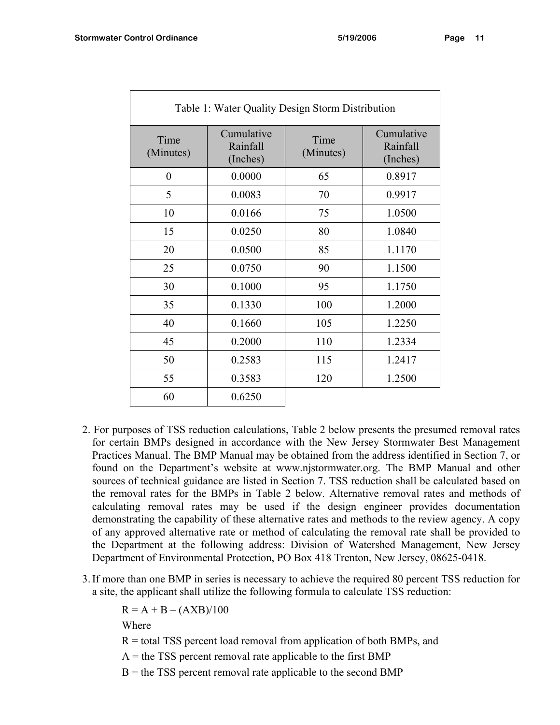| Table 1: Water Quality Design Storm Distribution |                                    |                   |                                    |  |  |  |
|--------------------------------------------------|------------------------------------|-------------------|------------------------------------|--|--|--|
| Time<br>(Minutes)                                | Cumulative<br>Rainfall<br>(Inches) | Time<br>(Minutes) | Cumulative<br>Rainfall<br>(Inches) |  |  |  |
| $\theta$                                         | 0.0000                             | 65                | 0.8917                             |  |  |  |
| 5                                                | 0.0083                             | 70                | 0.9917                             |  |  |  |
| 10                                               | 0.0166                             | 75                | 1.0500                             |  |  |  |
| 15                                               | 0.0250                             | 80                | 1.0840                             |  |  |  |
| 20                                               | 0.0500                             | 85                | 1.1170                             |  |  |  |
| 25                                               | 0.0750                             | 90                | 1.1500                             |  |  |  |
| 30                                               | 0.1000                             | 95                | 1.1750                             |  |  |  |
| 35                                               | 0.1330                             | 100               | 1.2000                             |  |  |  |
| 40                                               | 0.1660                             | 105               | 1.2250                             |  |  |  |
| 45                                               | 0.2000                             | 110               | 1.2334                             |  |  |  |
| 50                                               | 0.2583                             | 115               | 1.2417                             |  |  |  |
| 55                                               | 0.3583                             | 120               | 1.2500                             |  |  |  |
| 60                                               | 0.6250                             |                   |                                    |  |  |  |

- 2. For purposes of TSS reduction calculations, Table 2 below presents the presumed removal rates for certain BMPs designed in accordance with the New Jersey Stormwater Best Management Practices Manual. The BMP Manual may be obtained from the address identified in Section 7, or found on the Department's website at www.njstormwater.org. The BMP Manual and other sources of technical guidance are listed in Section 7. TSS reduction shall be calculated based on the removal rates for the BMPs in Table 2 below. Alternative removal rates and methods of calculating removal rates may be used if the design engineer provides documentation demonstrating the capability of these alternative rates and methods to the review agency. A copy of any approved alternative rate or method of calculating the removal rate shall be provided to the Department at the following address: Division of Watershed Management, New Jersey Department of Environmental Protection, PO Box 418 Trenton, New Jersey, 08625-0418.
- 3. If more than one BMP in series is necessary to achieve the required 80 percent TSS reduction for a site, the applicant shall utilize the following formula to calculate TSS reduction:

 $R = A + B - (AXB)/100$ 

Where

- $R =$  total TSS percent load removal from application of both BMPs, and
- $A =$  the TSS percent removal rate applicable to the first BMP
- $B =$  the TSS percent removal rate applicable to the second BMP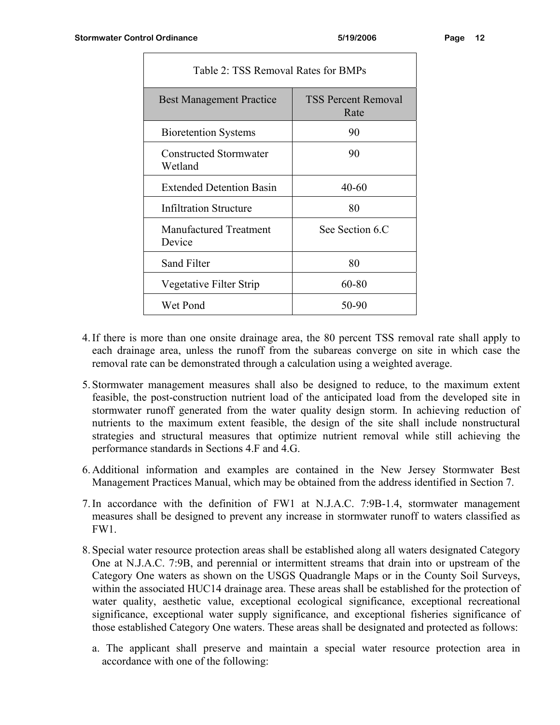| Table 2: TSS Removal Rates for BMPs     |                                    |  |  |  |
|-----------------------------------------|------------------------------------|--|--|--|
| <b>Best Management Practice</b>         | <b>TSS Percent Removal</b><br>Rate |  |  |  |
| <b>Bioretention Systems</b>             | 90                                 |  |  |  |
| Constructed Stormwater<br>Wetland       | 90                                 |  |  |  |
| <b>Extended Detention Basin</b>         | $40 - 60$                          |  |  |  |
| Infiltration Structure                  | 80                                 |  |  |  |
| <b>Manufactured Treatment</b><br>Device | See Section 6.C                    |  |  |  |
| Sand Filter                             | 80                                 |  |  |  |
| Vegetative Filter Strip                 | 60-80                              |  |  |  |
| Wet Pond                                | 50-90                              |  |  |  |

- 4. If there is more than one onsite drainage area, the 80 percent TSS removal rate shall apply to each drainage area, unless the runoff from the subareas converge on site in which case the removal rate can be demonstrated through a calculation using a weighted average.
- 5. Stormwater management measures shall also be designed to reduce, to the maximum extent feasible, the post-construction nutrient load of the anticipated load from the developed site in stormwater runoff generated from the water quality design storm. In achieving reduction of nutrients to the maximum extent feasible, the design of the site shall include nonstructural strategies and structural measures that optimize nutrient removal while still achieving the performance standards in Sections 4.F and 4.G.
- 6. Additional information and examples are contained in the New Jersey Stormwater Best Management Practices Manual, which may be obtained from the address identified in Section 7.
- 7. In accordance with the definition of FW1 at N.J.A.C. 7:9B-1.4, stormwater management measures shall be designed to prevent any increase in stormwater runoff to waters classified as FW1.
- 8. Special water resource protection areas shall be established along all waters designated Category One at N.J.A.C. 7:9B, and perennial or intermittent streams that drain into or upstream of the Category One waters as shown on the USGS Quadrangle Maps or in the County Soil Surveys, within the associated HUC14 drainage area. These areas shall be established for the protection of water quality, aesthetic value, exceptional ecological significance, exceptional recreational significance, exceptional water supply significance, and exceptional fisheries significance of those established Category One waters. These areas shall be designated and protected as follows:
	- a. The applicant shall preserve and maintain a special water resource protection area in accordance with one of the following: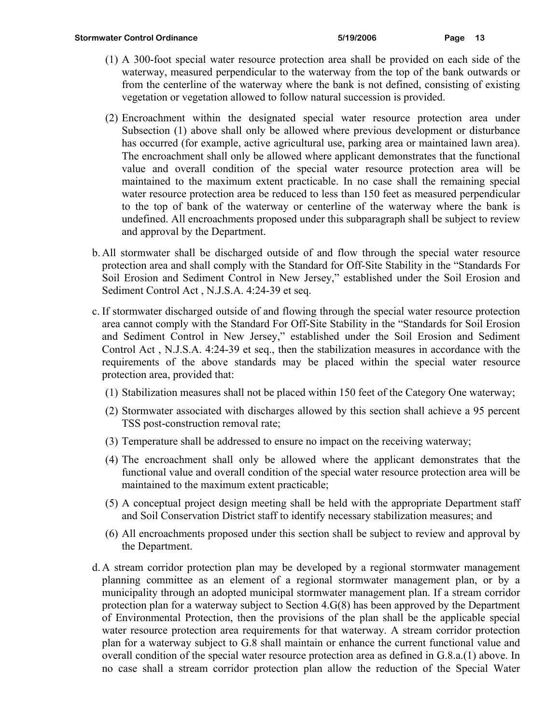- (1) A 300-foot special water resource protection area shall be provided on each side of the waterway, measured perpendicular to the waterway from the top of the bank outwards or from the centerline of the waterway where the bank is not defined, consisting of existing vegetation or vegetation allowed to follow natural succession is provided.
- (2) Encroachment within the designated special water resource protection area under Subsection (1) above shall only be allowed where previous development or disturbance has occurred (for example, active agricultural use, parking area or maintained lawn area). The encroachment shall only be allowed where applicant demonstrates that the functional value and overall condition of the special water resource protection area will be maintained to the maximum extent practicable. In no case shall the remaining special water resource protection area be reduced to less than 150 feet as measured perpendicular to the top of bank of the waterway or centerline of the waterway where the bank is undefined. All encroachments proposed under this subparagraph shall be subject to review and approval by the Department.
- b. All stormwater shall be discharged outside of and flow through the special water resource protection area and shall comply with the Standard for Off-Site Stability in the "Standards For Soil Erosion and Sediment Control in New Jersey," established under the Soil Erosion and Sediment Control Act , N.J.S.A. 4:24-39 et seq.
- c. If stormwater discharged outside of and flowing through the special water resource protection area cannot comply with the Standard For Off-Site Stability in the "Standards for Soil Erosion and Sediment Control in New Jersey," established under the Soil Erosion and Sediment Control Act , N.J.S.A. 4:24-39 et seq., then the stabilization measures in accordance with the requirements of the above standards may be placed within the special water resource protection area, provided that:
	- (1) Stabilization measures shall not be placed within 150 feet of the Category One waterway;
	- (2) Stormwater associated with discharges allowed by this section shall achieve a 95 percent TSS post-construction removal rate;
	- (3) Temperature shall be addressed to ensure no impact on the receiving waterway;
	- (4) The encroachment shall only be allowed where the applicant demonstrates that the functional value and overall condition of the special water resource protection area will be maintained to the maximum extent practicable;
	- (5) A conceptual project design meeting shall be held with the appropriate Department staff and Soil Conservation District staff to identify necessary stabilization measures; and
	- (6) All encroachments proposed under this section shall be subject to review and approval by the Department.
- d. A stream corridor protection plan may be developed by a regional stormwater management planning committee as an element of a regional stormwater management plan, or by a municipality through an adopted municipal stormwater management plan. If a stream corridor protection plan for a waterway subject to Section 4.G(8) has been approved by the Department of Environmental Protection, then the provisions of the plan shall be the applicable special water resource protection area requirements for that waterway. A stream corridor protection plan for a waterway subject to G.8 shall maintain or enhance the current functional value and overall condition of the special water resource protection area as defined in G.8.a.(1) above. In no case shall a stream corridor protection plan allow the reduction of the Special Water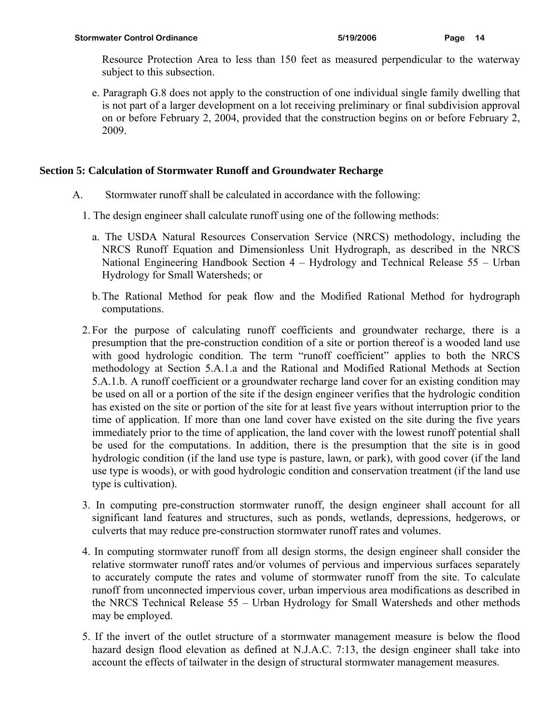Resource Protection Area to less than 150 feet as measured perpendicular to the waterway subject to this subsection.

e. Paragraph G.8 does not apply to the construction of one individual single family dwelling that is not part of a larger development on a lot receiving preliminary or final subdivision approval on or before February 2, 2004, provided that the construction begins on or before February 2, 2009.

### **Section 5: Calculation of Stormwater Runoff and Groundwater Recharge**

- A. Stormwater runoff shall be calculated in accordance with the following:
	- 1. The design engineer shall calculate runoff using one of the following methods:
		- a. The USDA Natural Resources Conservation Service (NRCS) methodology, including the NRCS Runoff Equation and Dimensionless Unit Hydrograph, as described in the NRCS National Engineering Handbook Section 4 – Hydrology and Technical Release 55 – Urban Hydrology for Small Watersheds; or
		- b. The Rational Method for peak flow and the Modified Rational Method for hydrograph computations.
	- 2. For the purpose of calculating runoff coefficients and groundwater recharge, there is a presumption that the pre-construction condition of a site or portion thereof is a wooded land use with good hydrologic condition. The term "runoff coefficient" applies to both the NRCS methodology at Section 5.A.1.a and the Rational and Modified Rational Methods at Section 5.A.1.b. A runoff coefficient or a groundwater recharge land cover for an existing condition may be used on all or a portion of the site if the design engineer verifies that the hydrologic condition has existed on the site or portion of the site for at least five years without interruption prior to the time of application. If more than one land cover have existed on the site during the five years immediately prior to the time of application, the land cover with the lowest runoff potential shall be used for the computations. In addition, there is the presumption that the site is in good hydrologic condition (if the land use type is pasture, lawn, or park), with good cover (if the land use type is woods), or with good hydrologic condition and conservation treatment (if the land use type is cultivation).
	- 3. In computing pre-construction stormwater runoff, the design engineer shall account for all significant land features and structures, such as ponds, wetlands, depressions, hedgerows, or culverts that may reduce pre-construction stormwater runoff rates and volumes.
	- 4. In computing stormwater runoff from all design storms, the design engineer shall consider the relative stormwater runoff rates and/or volumes of pervious and impervious surfaces separately to accurately compute the rates and volume of stormwater runoff from the site. To calculate runoff from unconnected impervious cover, urban impervious area modifications as described in the NRCS Technical Release 55 – Urban Hydrology for Small Watersheds and other methods may be employed.
	- 5. If the invert of the outlet structure of a stormwater management measure is below the flood hazard design flood elevation as defined at N.J.A.C. 7:13, the design engineer shall take into account the effects of tailwater in the design of structural stormwater management measures.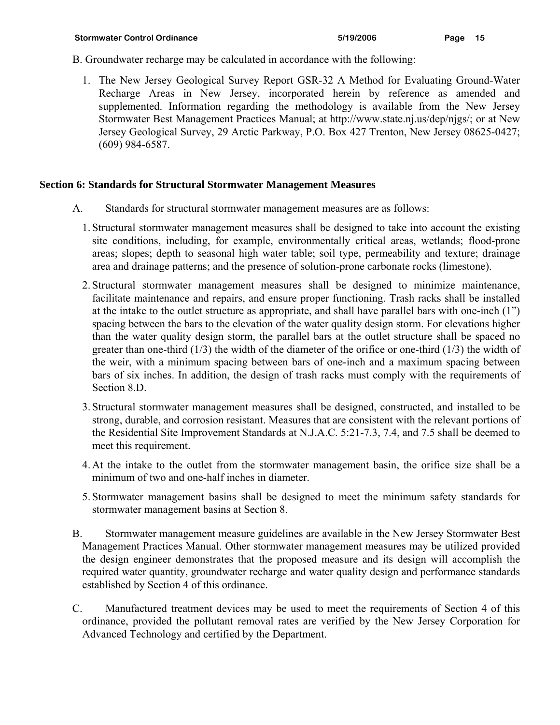- B. Groundwater recharge may be calculated in accordance with the following:
	- 1. The New Jersey Geological Survey Report GSR-32 A Method for Evaluating Ground-Water Recharge Areas in New Jersey, incorporated herein by reference as amended and supplemented. Information regarding the methodology is available from the New Jersey Stormwater Best Management Practices Manual; at http://www.state.nj.us/dep/njgs/; or at New Jersey Geological Survey, 29 Arctic Parkway, P.O. Box 427 Trenton, New Jersey 08625-0427; (609) 984-6587.

#### **Section 6: Standards for Structural Stormwater Management Measures**

- A. Standards for structural stormwater management measures are as follows:
	- 1. Structural stormwater management measures shall be designed to take into account the existing site conditions, including, for example, environmentally critical areas, wetlands; flood-prone areas; slopes; depth to seasonal high water table; soil type, permeability and texture; drainage area and drainage patterns; and the presence of solution-prone carbonate rocks (limestone).
	- 2. Structural stormwater management measures shall be designed to minimize maintenance, facilitate maintenance and repairs, and ensure proper functioning. Trash racks shall be installed at the intake to the outlet structure as appropriate, and shall have parallel bars with one-inch (1") spacing between the bars to the elevation of the water quality design storm. For elevations higher than the water quality design storm, the parallel bars at the outlet structure shall be spaced no greater than one-third  $(1/3)$  the width of the diameter of the orifice or one-third  $(1/3)$  the width of the weir, with a minimum spacing between bars of one-inch and a maximum spacing between bars of six inches. In addition, the design of trash racks must comply with the requirements of Section 8.D.
	- 3. Structural stormwater management measures shall be designed, constructed, and installed to be strong, durable, and corrosion resistant. Measures that are consistent with the relevant portions of the Residential Site Improvement Standards at N.J.A.C. 5:21-7.3, 7.4, and 7.5 shall be deemed to meet this requirement.
	- 4. At the intake to the outlet from the stormwater management basin, the orifice size shall be a minimum of two and one-half inches in diameter.
	- 5. Stormwater management basins shall be designed to meet the minimum safety standards for stormwater management basins at Section 8.
- B. Stormwater management measure guidelines are available in the New Jersey Stormwater Best Management Practices Manual. Other stormwater management measures may be utilized provided the design engineer demonstrates that the proposed measure and its design will accomplish the required water quantity, groundwater recharge and water quality design and performance standards established by Section 4 of this ordinance.
- C. Manufactured treatment devices may be used to meet the requirements of Section 4 of this ordinance, provided the pollutant removal rates are verified by the New Jersey Corporation for Advanced Technology and certified by the Department.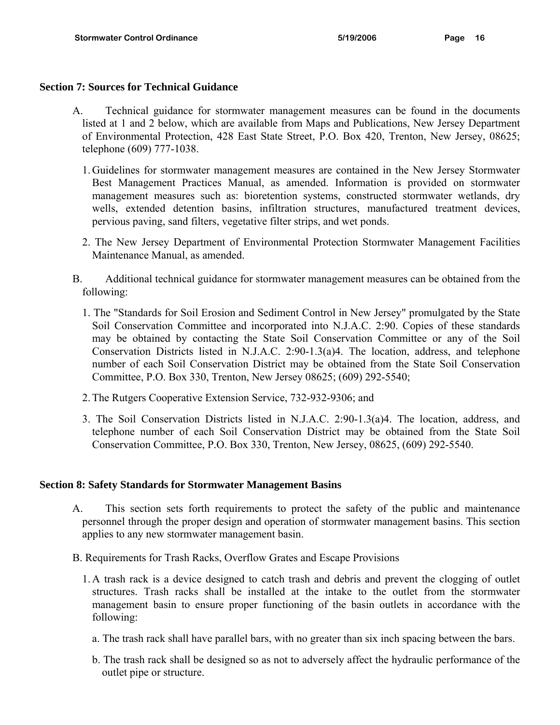#### **Section 7: Sources for Technical Guidance**

- A. Technical guidance for stormwater management measures can be found in the documents listed at 1 and 2 below, which are available from Maps and Publications, New Jersey Department of Environmental Protection, 428 East State Street, P.O. Box 420, Trenton, New Jersey, 08625; telephone (609) 777-1038.
	- 1. Guidelines for stormwater management measures are contained in the New Jersey Stormwater Best Management Practices Manual, as amended. Information is provided on stormwater management measures such as: bioretention systems, constructed stormwater wetlands, dry wells, extended detention basins, infiltration structures, manufactured treatment devices, pervious paving, sand filters, vegetative filter strips, and wet ponds.
	- 2. The New Jersey Department of Environmental Protection Stormwater Management Facilities Maintenance Manual, as amended.
- B. Additional technical guidance for stormwater management measures can be obtained from the following:
	- 1. The "Standards for Soil Erosion and Sediment Control in New Jersey" promulgated by the State Soil Conservation Committee and incorporated into N.J.A.C. 2:90. Copies of these standards may be obtained by contacting the State Soil Conservation Committee or any of the Soil Conservation Districts listed in N.J.A.C. 2:90-1.3(a)4. The location, address, and telephone number of each Soil Conservation District may be obtained from the State Soil Conservation Committee, P.O. Box 330, Trenton, New Jersey 08625; (609) 292-5540;
	- 2. The Rutgers Cooperative Extension Service, 732-932-9306; and
	- 3. The Soil Conservation Districts listed in N.J.A.C. 2:90-1.3(a)4. The location, address, and telephone number of each Soil Conservation District may be obtained from the State Soil Conservation Committee, P.O. Box 330, Trenton, New Jersey, 08625, (609) 292-5540.

#### **Section 8: Safety Standards for Stormwater Management Basins**

- A. This section sets forth requirements to protect the safety of the public and maintenance personnel through the proper design and operation of stormwater management basins. This section applies to any new stormwater management basin.
- B. Requirements for Trash Racks, Overflow Grates and Escape Provisions
	- 1. A trash rack is a device designed to catch trash and debris and prevent the clogging of outlet structures. Trash racks shall be installed at the intake to the outlet from the stormwater management basin to ensure proper functioning of the basin outlets in accordance with the following:
		- a. The trash rack shall have parallel bars, with no greater than six inch spacing between the bars.
		- b. The trash rack shall be designed so as not to adversely affect the hydraulic performance of the outlet pipe or structure.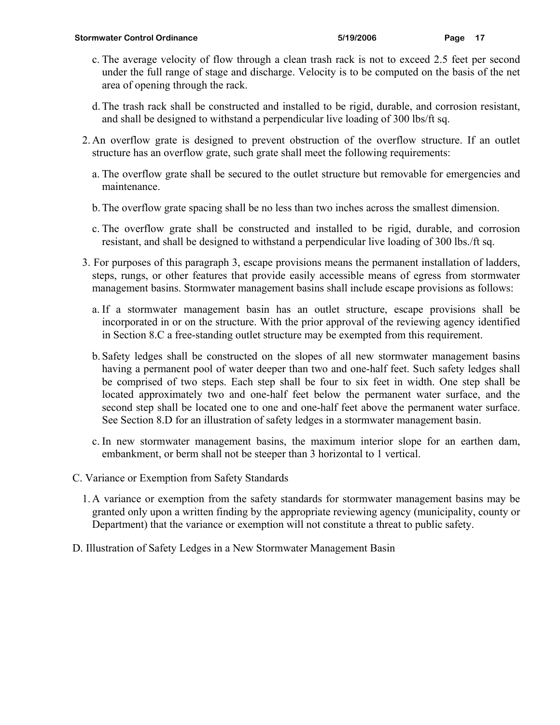- c. The average velocity of flow through a clean trash rack is not to exceed 2.5 feet per second under the full range of stage and discharge. Velocity is to be computed on the basis of the net area of opening through the rack.
- d. The trash rack shall be constructed and installed to be rigid, durable, and corrosion resistant, and shall be designed to withstand a perpendicular live loading of 300 lbs/ft sq.
- 2. An overflow grate is designed to prevent obstruction of the overflow structure. If an outlet structure has an overflow grate, such grate shall meet the following requirements:
	- a. The overflow grate shall be secured to the outlet structure but removable for emergencies and maintenance.
	- b. The overflow grate spacing shall be no less than two inches across the smallest dimension.
	- c. The overflow grate shall be constructed and installed to be rigid, durable, and corrosion resistant, and shall be designed to withstand a perpendicular live loading of 300 lbs./ft sq.
- 3. For purposes of this paragraph 3, escape provisions means the permanent installation of ladders, steps, rungs, or other features that provide easily accessible means of egress from stormwater management basins. Stormwater management basins shall include escape provisions as follows:
	- a. If a stormwater management basin has an outlet structure, escape provisions shall be incorporated in or on the structure. With the prior approval of the reviewing agency identified in Section 8.C a free-standing outlet structure may be exempted from this requirement.
	- b. Safety ledges shall be constructed on the slopes of all new stormwater management basins having a permanent pool of water deeper than two and one-half feet. Such safety ledges shall be comprised of two steps. Each step shall be four to six feet in width. One step shall be located approximately two and one-half feet below the permanent water surface, and the second step shall be located one to one and one-half feet above the permanent water surface. See Section 8.D for an illustration of safety ledges in a stormwater management basin.
	- c. In new stormwater management basins, the maximum interior slope for an earthen dam, embankment, or berm shall not be steeper than 3 horizontal to 1 vertical.
- C. Variance or Exemption from Safety Standards
	- 1. A variance or exemption from the safety standards for stormwater management basins may be granted only upon a written finding by the appropriate reviewing agency (municipality, county or Department) that the variance or exemption will not constitute a threat to public safety.
- D. Illustration of Safety Ledges in a New Stormwater Management Basin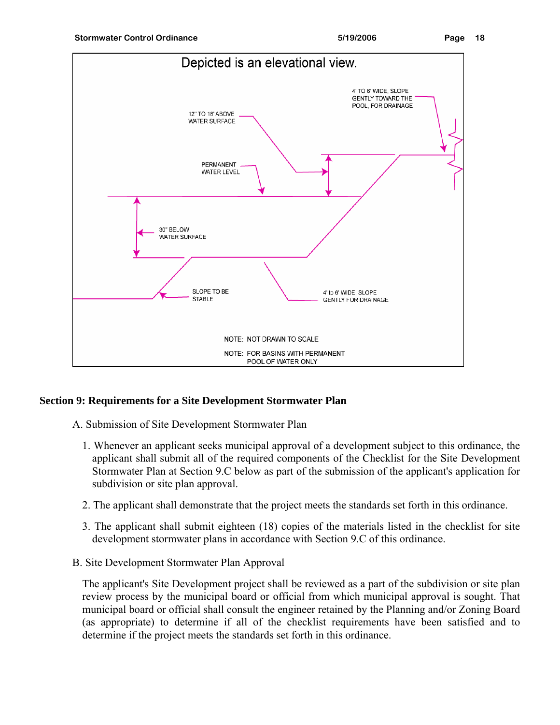



## **Section 9: Requirements for a Site Development Stormwater Plan**

A. Submission of Site Development Stormwater Plan

- 1. Whenever an applicant seeks municipal approval of a development subject to this ordinance, the applicant shall submit all of the required components of the Checklist for the Site Development Stormwater Plan at Section 9.C below as part of the submission of the applicant's application for subdivision or site plan approval.
- 2. The applicant shall demonstrate that the project meets the standards set forth in this ordinance.
- 3. The applicant shall submit eighteen (18) copies of the materials listed in the checklist for site development stormwater plans in accordance with Section 9.C of this ordinance.
- B. Site Development Stormwater Plan Approval

The applicant's Site Development project shall be reviewed as a part of the subdivision or site plan review process by the municipal board or official from which municipal approval is sought. That municipal board or official shall consult the engineer retained by the Planning and/or Zoning Board (as appropriate) to determine if all of the checklist requirements have been satisfied and to determine if the project meets the standards set forth in this ordinance.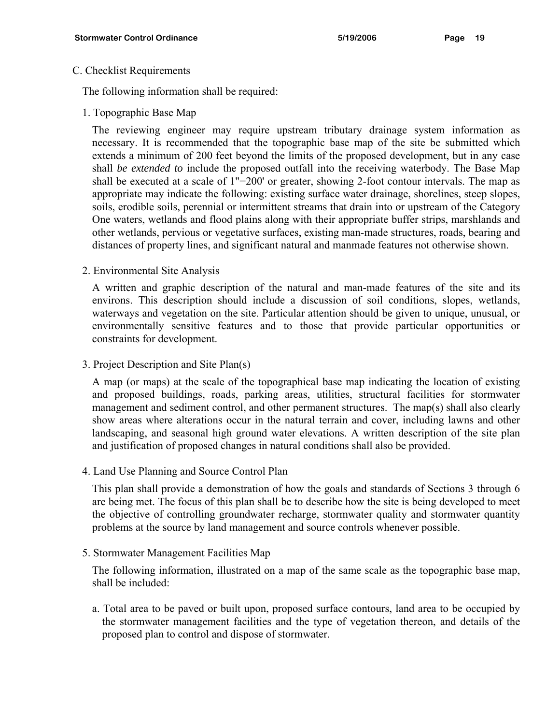#### C. Checklist Requirements

The following information shall be required:

1. Topographic Base Map

The reviewing engineer may require upstream tributary drainage system information as necessary. It is recommended that the topographic base map of the site be submitted which extends a minimum of 200 feet beyond the limits of the proposed development, but in any case shall *be extended to* include the proposed outfall into the receiving waterbody. The Base Map shall be executed at a scale of 1"=200' or greater, showing 2-foot contour intervals. The map as appropriate may indicate the following: existing surface water drainage, shorelines, steep slopes, soils, erodible soils, perennial or intermittent streams that drain into or upstream of the Category One waters, wetlands and flood plains along with their appropriate buffer strips, marshlands and other wetlands, pervious or vegetative surfaces, existing man-made structures, roads, bearing and distances of property lines, and significant natural and manmade features not otherwise shown.

2. Environmental Site Analysis

A written and graphic description of the natural and man-made features of the site and its environs. This description should include a discussion of soil conditions, slopes, wetlands, waterways and vegetation on the site. Particular attention should be given to unique, unusual, or environmentally sensitive features and to those that provide particular opportunities or constraints for development.

3. Project Description and Site Plan(s)

A map (or maps) at the scale of the topographical base map indicating the location of existing and proposed buildings, roads, parking areas, utilities, structural facilities for stormwater management and sediment control, and other permanent structures. The map(s) shall also clearly show areas where alterations occur in the natural terrain and cover, including lawns and other landscaping, and seasonal high ground water elevations. A written description of the site plan and justification of proposed changes in natural conditions shall also be provided.

4. Land Use Planning and Source Control Plan

This plan shall provide a demonstration of how the goals and standards of Sections 3 through 6 are being met. The focus of this plan shall be to describe how the site is being developed to meet the objective of controlling groundwater recharge, stormwater quality and stormwater quantity problems at the source by land management and source controls whenever possible.

5. Stormwater Management Facilities Map

The following information, illustrated on a map of the same scale as the topographic base map, shall be included:

a. Total area to be paved or built upon, proposed surface contours, land area to be occupied by the stormwater management facilities and the type of vegetation thereon, and details of the proposed plan to control and dispose of stormwater.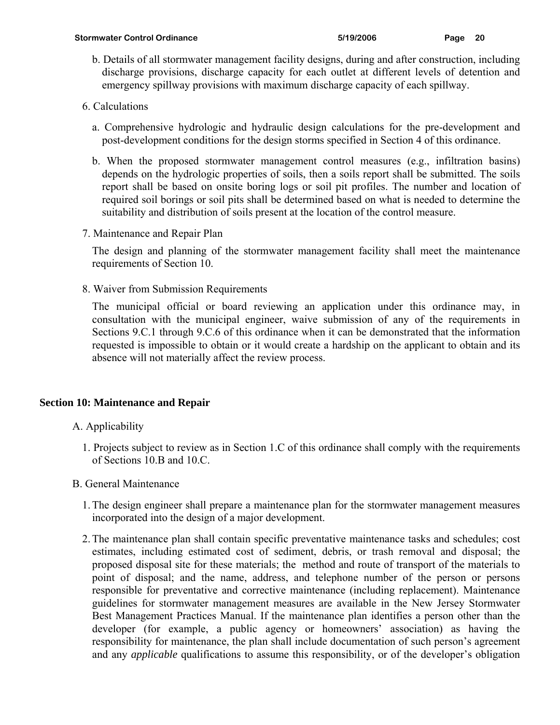b. Details of all stormwater management facility designs, during and after construction, including discharge provisions, discharge capacity for each outlet at different levels of detention and emergency spillway provisions with maximum discharge capacity of each spillway.

## 6. Calculations

- a. Comprehensive hydrologic and hydraulic design calculations for the pre-development and post-development conditions for the design storms specified in Section 4 of this ordinance.
- b. When the proposed stormwater management control measures (e.g., infiltration basins) depends on the hydrologic properties of soils, then a soils report shall be submitted. The soils report shall be based on onsite boring logs or soil pit profiles. The number and location of required soil borings or soil pits shall be determined based on what is needed to determine the suitability and distribution of soils present at the location of the control measure.
- 7. Maintenance and Repair Plan

The design and planning of the stormwater management facility shall meet the maintenance requirements of Section 10.

8. Waiver from Submission Requirements

The municipal official or board reviewing an application under this ordinance may, in consultation with the municipal engineer, waive submission of any of the requirements in Sections 9.C.1 through 9.C.6 of this ordinance when it can be demonstrated that the information requested is impossible to obtain or it would create a hardship on the applicant to obtain and its absence will not materially affect the review process.

## **Section 10: Maintenance and Repair**

- A. Applicability
	- 1. Projects subject to review as in Section 1.C of this ordinance shall comply with the requirements of Sections 10.B and 10.C.
- B. General Maintenance
	- 1. The design engineer shall prepare a maintenance plan for the stormwater management measures incorporated into the design of a major development.
	- 2. The maintenance plan shall contain specific preventative maintenance tasks and schedules; cost estimates, including estimated cost of sediment, debris, or trash removal and disposal; the proposed disposal site for these materials; the method and route of transport of the materials to point of disposal; and the name, address, and telephone number of the person or persons responsible for preventative and corrective maintenance (including replacement). Maintenance guidelines for stormwater management measures are available in the New Jersey Stormwater Best Management Practices Manual. If the maintenance plan identifies a person other than the developer (for example, a public agency or homeowners' association) as having the responsibility for maintenance, the plan shall include documentation of such person's agreement and any *applicable* qualifications to assume this responsibility, or of the developer's obligation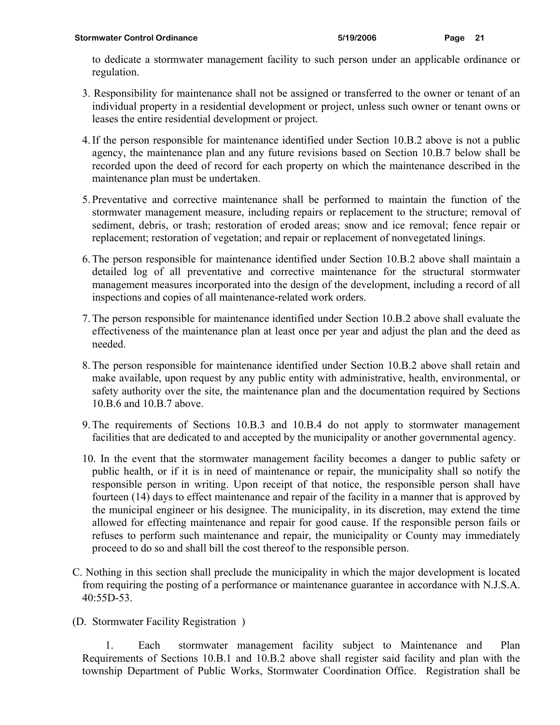to dedicate a stormwater management facility to such person under an applicable ordinance or regulation.

- 3. Responsibility for maintenance shall not be assigned or transferred to the owner or tenant of an individual property in a residential development or project, unless such owner or tenant owns or leases the entire residential development or project.
- 4. If the person responsible for maintenance identified under Section 10.B.2 above is not a public agency, the maintenance plan and any future revisions based on Section 10.B.7 below shall be recorded upon the deed of record for each property on which the maintenance described in the maintenance plan must be undertaken.
- 5. Preventative and corrective maintenance shall be performed to maintain the function of the stormwater management measure, including repairs or replacement to the structure; removal of sediment, debris, or trash; restoration of eroded areas; snow and ice removal; fence repair or replacement; restoration of vegetation; and repair or replacement of nonvegetated linings.
- 6. The person responsible for maintenance identified under Section 10.B.2 above shall maintain a detailed log of all preventative and corrective maintenance for the structural stormwater management measures incorporated into the design of the development, including a record of all inspections and copies of all maintenance-related work orders.
- 7. The person responsible for maintenance identified under Section 10.B.2 above shall evaluate the effectiveness of the maintenance plan at least once per year and adjust the plan and the deed as needed.
- 8. The person responsible for maintenance identified under Section 10.B.2 above shall retain and make available, upon request by any public entity with administrative, health, environmental, or safety authority over the site, the maintenance plan and the documentation required by Sections 10.B.6 and 10.B.7 above.
- 9. The requirements of Sections 10.B.3 and 10.B.4 do not apply to stormwater management facilities that are dedicated to and accepted by the municipality or another governmental agency.
- 10. In the event that the stormwater management facility becomes a danger to public safety or public health, or if it is in need of maintenance or repair, the municipality shall so notify the responsible person in writing. Upon receipt of that notice, the responsible person shall have fourteen (14) days to effect maintenance and repair of the facility in a manner that is approved by the municipal engineer or his designee. The municipality, in its discretion, may extend the time allowed for effecting maintenance and repair for good cause. If the responsible person fails or refuses to perform such maintenance and repair, the municipality or County may immediately proceed to do so and shall bill the cost thereof to the responsible person.
- C. Nothing in this section shall preclude the municipality in which the major development is located from requiring the posting of a performance or maintenance guarantee in accordance with N.J.S.A. 40:55D-53.
- (D. Stormwater Facility Registration )

1. Each stormwater management facility subject to Maintenance and Plan Requirements of Sections 10.B.1 and 10.B.2 above shall register said facility and plan with the township Department of Public Works, Stormwater Coordination Office. Registration shall be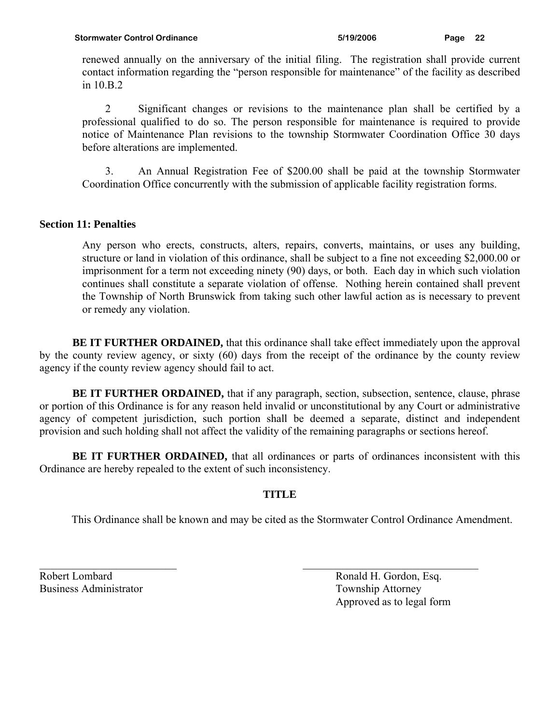renewed annually on the anniversary of the initial filing. The registration shall provide current contact information regarding the "person responsible for maintenance" of the facility as described in 10.B.2

2 Significant changes or revisions to the maintenance plan shall be certified by a professional qualified to do so. The person responsible for maintenance is required to provide notice of Maintenance Plan revisions to the township Stormwater Coordination Office 30 days before alterations are implemented.

3. An Annual Registration Fee of \$200.00 shall be paid at the township Stormwater Coordination Office concurrently with the submission of applicable facility registration forms.

### **Section 11: Penalties**

Any person who erects, constructs, alters, repairs, converts, maintains, or uses any building, structure or land in violation of this ordinance, shall be subject to a fine not exceeding \$2,000.00 or imprisonment for a term not exceeding ninety (90) days, or both. Each day in which such violation continues shall constitute a separate violation of offense. Nothing herein contained shall prevent the Township of North Brunswick from taking such other lawful action as is necessary to prevent or remedy any violation.

**BE IT FURTHER ORDAINED,** that this ordinance shall take effect immediately upon the approval by the county review agency, or sixty (60) days from the receipt of the ordinance by the county review agency if the county review agency should fail to act.

**BE IT FURTHER ORDAINED,** that if any paragraph, section, subsection, sentence, clause, phrase or portion of this Ordinance is for any reason held invalid or unconstitutional by any Court or administrative agency of competent jurisdiction, such portion shall be deemed a separate, distinct and independent provision and such holding shall not affect the validity of the remaining paragraphs or sections hereof.

**BE IT FURTHER ORDAINED,** that all ordinances or parts of ordinances inconsistent with this Ordinance are hereby repealed to the extent of such inconsistency.

## **TITLE**

 $\mathcal{L}_\text{max}$  and the contract of the contract of the contract of the contract of the contract of the contract of

This Ordinance shall be known and may be cited as the Stormwater Control Ordinance Amendment.

Business Administrator Township Attorney

Robert Lombard Ronald H. Gordon, Esq. Approved as to legal form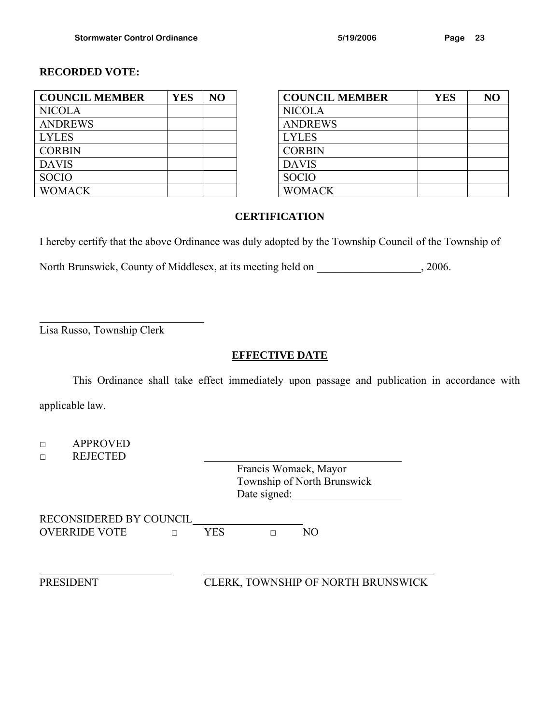### **RECORDED VOTE:**

| <b>COUNCIL MEMBER</b> | <b>YES</b> | NO | <b>COUNCIL MEMBER</b> |
|-----------------------|------------|----|-----------------------|
| <b>NICOLA</b>         |            |    | <b>NICOLA</b>         |
| <b>ANDREWS</b>        |            |    | <b>ANDREWS</b>        |
| <b>LYLES</b>          |            |    | <b>LYLES</b>          |
| <b>CORBIN</b>         |            |    | <b>CORBIN</b>         |
| <b>DAVIS</b>          |            |    | <b>DAVIS</b>          |
| <b>SOCIO</b>          |            |    | <b>SOCIO</b>          |
| <b>WOMACK</b>         |            |    | <b>WOMACK</b>         |

| <b>COUNCIL MEMBER</b> | <b>YES</b> | NO |              | <b>COUNCIL MEMBER</b> | <b>YES</b> | NO |
|-----------------------|------------|----|--------------|-----------------------|------------|----|
| NICOLA                |            |    |              | <b>NICOLA</b>         |            |    |
| <b>ANDREWS</b>        |            |    |              | <b>ANDREWS</b>        |            |    |
| LYLES                 |            |    | <b>LYLES</b> |                       |            |    |
| <b>CORBIN</b>         |            |    |              | <b>CORBIN</b>         |            |    |
| <b>DAVIS</b>          |            |    | <b>DAVIS</b> |                       |            |    |
| SOCIO                 |            |    | <b>SOCIO</b> |                       |            |    |
| <b>WOMACK</b>         |            |    |              | <b>WOMACK</b>         |            |    |

#### **CERTIFICATION**

I hereby certify that the above Ordinance was duly adopted by the Township Council of the Township of

North Brunswick, County of Middlesex, at its meeting held on  $\qquad \qquad$ , 2006.

Lisa Russo, Township Clerk

 $\overline{a}$ 

## **EFFECTIVE DATE**

This Ordinance shall take effect immediately upon passage and publication in accordance with applicable law.

□ APPROVED □ REJECTED Francis Womack, Mayor Township of North Brunswick Date signed: RECONSIDERED BY COUNCIL OVERRIDE VOTE □ YES □ NO l PRESIDENT CLERK, TOWNSHIP OF NORTH BRUNSWICK